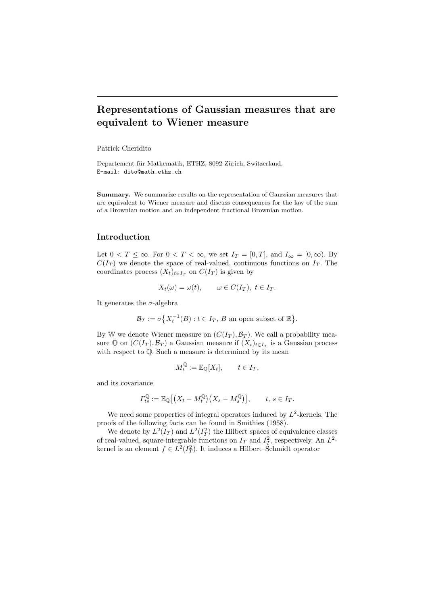# Representations of Gaussian measures that are equivalent to Wiener measure

Patrick Cheridito

Departement für Mathematik, ETHZ, 8092 Zürich, Switzerland. E-mail: dito@math.ethz.ch

Summary. We summarize results on the representation of Gaussian measures that are equivalent to Wiener measure and discuss consequences for the law of the sum of a Brownian motion and an independent fractional Brownian motion.

### Introduction

Let  $0 < T \leq \infty$ . For  $0 < T < \infty$ , we set  $I_T = [0, T]$ , and  $I_{\infty} = [0, \infty)$ . By  $C(I_T)$  we denote the space of real-valued, continuous functions on  $I_T$ . The coordinates process  $(X_t)_{t\in I_T}$  on  $C(I_T)$  is given by

$$
X_t(\omega) = \omega(t), \qquad \omega \in C(I_T), \ t \in I_T.
$$

It generates the  $\sigma$ -algebra

 $\mathcal{B}_T := \sigma\big\{X_t^{-1}(B) : t \in I_T, B \text{ an open subset of } \mathbb{R}\big\}.$ 

By W we denote Wiener measure on  $(C(I_T), \mathcal{B}_T)$ . We call a probability measure  $\mathbb Q$  on  $(C(I_T), \mathcal{B}_T)$  a Gaussian measure if  $(X_t)_{t \in I_T}$  is a Gaussian process with respect to  $\mathbb Q$ . Such a measure is determined by its mean

$$
M_t^{\mathbb{Q}} := \mathbb{E}_{\mathbb{Q}}[X_t], \qquad t \in I_T,
$$

and its covariance

$$
\Gamma^{\mathbb{Q}}_{ts} := \mathbb{E}_{\mathbb{Q}}\big[\big(X_t - M_t^{\mathbb{Q}}\big)\big(X_s - M_s^{\mathbb{Q}}\big)\big], \qquad t, s \in I_T.
$$

We need some properties of integral operators induced by  $L^2$ -kernels. The proofs of the following facts can be found in Smithies (1958).

We denote by  $L^2(I_T)$  and  $L^2(I_T^2)$  the Hilbert spaces of equivalence classes of real-valued, square-integrable functions on  $I_T$  and  $I_T^2$ , respectively. An  $L^2$ kernel is an element  $f \in L^2(I_T^2)$ . It induces a Hilbert–Schmidt operator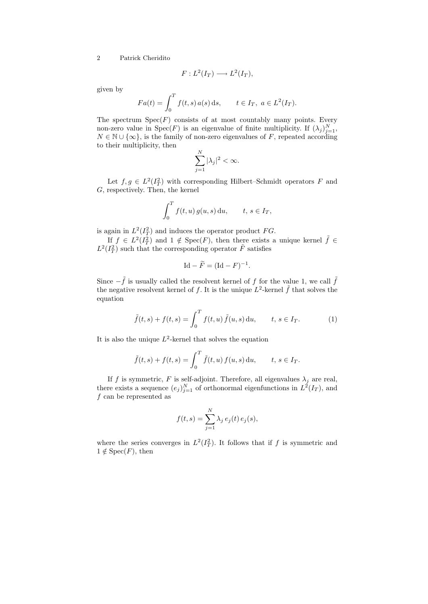$$
F: L^2(I_T) \longrightarrow L^2(I_T),
$$

given by

$$
Fa(t) = \int_0^T f(t, s) a(s) ds, \quad t \in I_T, \ a \in L^2(I_T).
$$

The spectrum  $Spec(F)$  consists of at most countably many points. Every non-zero value in  $Spec(F)$  is an eigenvalue of finite multiplicity. If  $(\lambda_j)_{j=1}^N$ ,  $N \in \mathbb{N} \cup \{\infty\}$ , is the family of non-zero eigenvalues of F, repeated according to their multiplicity, then

$$
\sum_{j=1}^{N} |\lambda_j|^2 < \infty.
$$

Let  $f, g \in L^2(I_T^2)$  with corresponding Hilbert–Schmidt operators F and G, respectively. Then, the kernel

$$
\int_0^T f(t, u) g(u, s) \, \mathrm{d}u, \qquad t, s \in I_T,
$$

is again in  $L^2(I_T^2)$  and induces the operator product FG.

If  $f \in L^2(I_T^2)$  and  $1 \notin \text{Spec}(F)$ , then there exists a unique kernel  $\tilde{f} \in$  $L^2(I_T^2)$  such that the corresponding operator  $\tilde{F}$  satisfies

$$
Id - \widetilde{F} = (\mathrm{Id} - F)^{-1}.
$$

Since  $-\tilde{f}$  is usually called the resolvent kernel of f for the value 1, we call  $\tilde{f}$ the negative resolvent kernel of f. It is the unique  $L^2$ -kernel  $\tilde{f}$  that solves the equation

$$
\tilde{f}(t,s) + f(t,s) = \int_0^T f(t,u) \, \tilde{f}(u,s) \, \mathrm{d}u, \qquad t, s \in I_T.
$$
 (1)

It is also the unique  $L^2$ -kernel that solves the equation

$$
\tilde{f}(t,s) + f(t,s) = \int_0^T \tilde{f}(t,u) f(u,s) \, \mathrm{d}u, \qquad t, s \in I_T.
$$

If f is symmetric, F is self-adjoint. Therefore, all eigenvalues  $\lambda_j$  are real, there exists a sequence  $(e_j)_{j=1}^N$  of orthonormal eigenfunctions in  $L^2(I_T)$ , and f can be represented as

$$
f(t,s) = \sum_{j=1}^{N} \lambda_j e_j(t) e_j(s),
$$

where the series converges in  $L^2(I_T^2)$ . It follows that if f is symmetric and  $1 \notin Spec(F)$ , then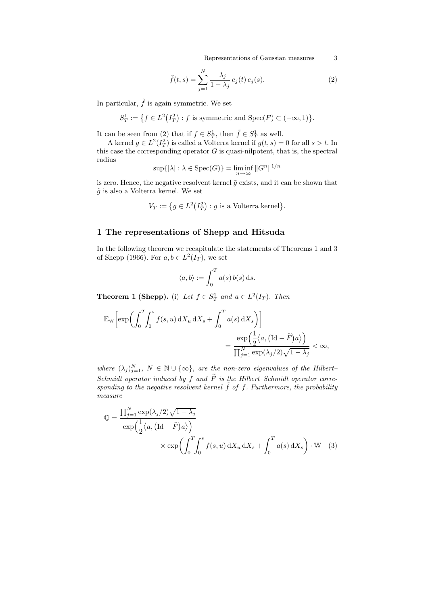Representations of Gaussian measures 3

$$
\tilde{f}(t,s) = \sum_{j=1}^{N} \frac{-\lambda_j}{1 - \lambda_j} e_j(t) e_j(s).
$$
\n(2)

In particular,  $\tilde{f}$  is again symmetric. We set

$$
S_T^1 := \{ f \in L^2(I_T^2) : f \text{ is symmetric and } \operatorname{Spec}(F) \subset (-\infty, 1) \}.
$$

It can be seen from (2) that if  $f \in S^1_T$ , then  $\tilde{f} \in S^1_T$  as well.

A kernel  $g \in L^2(I_T^2)$  is called a Volterra kernel if  $g(t, s) = 0$  for all  $s > t$ . In this case the corresponding operator  $G$  is quasi-nilpotent, that is, the spectral radius

$$
\sup\{|\lambda|:\lambda\in\mathrm{Spec}(G)\}=\liminf_{n\to\infty}||G^n||^{1/n}
$$

is zero. Hence, the negative resolvent kernel  $\tilde{g}$  exists, and it can be shown that  $\tilde{g}$  is also a Volterra kernel. We set

$$
V_T := \{ g \in L^2(I_T^2) : g \text{ is a Volterra kernel} \}.
$$

### 1 The representations of Shepp and Hitsuda

In the following theorem we recapitulate the statements of Theorems 1 and 3 of Shepp (1966). For  $a, b \in L^2(I_T)$ , we set

$$
\langle a, b \rangle := \int_0^T a(s) b(s) \, \mathrm{d} s.
$$

**Theorem 1 (Shepp).** (i) Let  $f \in S_T^1$  and  $a \in L^2(I_T)$ . Then

$$
\mathbb{E}_{\mathbb{W}}\bigg[\exp\bigg(\int_0^T \int_0^s f(s, u) dX_u dX_s + \int_0^T a(s) dX_s\bigg)\bigg] = \frac{\exp\Big(\frac{1}{2}\langle a, (\mathrm{Id} - \widetilde{F})a\rangle\Big)}{\prod_{j=1}^N \exp(\lambda_j/2)\sqrt{1-\lambda_j}} < \infty,
$$

where  $(\lambda_j)_{j=1}^N$ ,  $N \in \mathbb{N} \cup \{\infty\}$ , are the non-zero eigenvalues of the Hilbert-Schmidt operator induced by f and  $\widetilde{F}$  is the Hilbert–Schmidt operator corresponding to the negative resolvent kernel  $\tilde{f}$  of f. Furthermore, the probability measure

$$
\mathbb{Q} = \frac{\prod_{j=1}^{N} \exp(\lambda_j/2) \sqrt{1 - \lambda_j}}{\exp\left(\frac{1}{2} \langle a, (\text{Id} - \tilde{F})a \rangle\right)} \times \exp\left(\int_0^T \int_0^s f(s, u) dX_u dX_s + \int_0^T a(s) dX_s\right) \cdot \mathbb{W}
$$
 (3)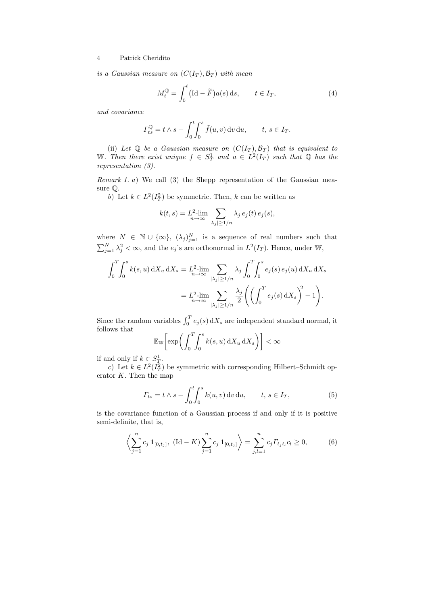is a Gaussian measure on  $(C(I_T), \mathcal{B}_T)$  with mean

$$
M_t^{\mathbb{Q}} = \int_0^t (\text{Id} - \widetilde{F}) a(s) \, \mathrm{d}s, \qquad t \in I_T,\tag{4}
$$

and covariance

$$
\Gamma^{\mathbb{Q}}_{ts} = t \wedge s - \int_0^t \int_0^s \tilde{f}(u, v) dv du, \qquad t, s \in I_T.
$$

(ii) Let  $\mathbb Q$  be a Gaussian measure on  $(C(I_T), \mathcal{B}_T)$  that is equivalent to W. Then there exist unique  $f \in S_T^1$  and  $a \in L^2(I_T)$  such that  $\mathbb Q$  has the representation (3).

Remark 1. a) We call (3) the Shepp representation of the Gaussian measure Q.

b) Let  $k \in L^2(I_T^2)$  be symmetric. Then, k can be written as

$$
k(t,s) = L_{n \to \infty}^{2} \sum_{|\lambda_j| \ge 1/n} \lambda_j e_j(t) e_j(s),
$$

where  $N \in \mathbb{N} \cup \{\infty\}, \; (\lambda_j)_{j=1}^N$  is a sequence of real numbers such that  $\sum_{j=1}^{N} \lambda_j^2 < \infty$ , and the  $e_j$ 's are orthonormal in  $L^2(I_T)$ . Hence, under W,

$$
\int_0^T \int_0^s k(s, u) dX_u dX_s = L_{n \to \infty}^2 \lim_{|\lambda_j| \ge 1/n} \lambda_j \int_0^T \int_0^s e_j(s) e_j(u) dX_u dX_s
$$
  
= 
$$
L_{n \to \infty}^2 \lim_{|\lambda_j| \ge 1/n} \sum_{|\lambda_j| \ge 1/n} \frac{\lambda_j}{2} \left( \left( \int_0^T e_j(s) dX_s \right)^2 - 1 \right).
$$

Since the random variables  $\int_0^T e_j(s) dX_s$  are independent standard normal, it follows that

$$
\mathbb{E}_{\mathbb{W}}\bigg[\exp\bigg(\int_0^T\!\!\int_0^s k(s,u)\,\mathrm{d} X_u\,\mathrm{d} X_s\bigg)\bigg] < \infty
$$

if and only if  $k \in S^1_T$ .

c) Let  $k \in L^2(\overline{I}_T^2)$  be symmetric with corresponding Hilbert–Schmidt operator  $K$ . Then the map

$$
\Gamma_{ts} = t \wedge s - \int_0^t \int_0^s k(u, v) \, dv \, du, \qquad t, s \in I_T,
$$
\n<sup>(5)</sup>

is the covariance function of a Gaussian process if and only if it is positive semi-definite, that is,

$$
\left\langle \sum_{j=1}^{n} c_j \mathbf{1}_{[0,t_j]}, \left( \mathrm{Id} - K \right) \sum_{j=1}^{n} c_j \mathbf{1}_{[0,t_j]} \right\rangle = \sum_{j,l=1}^{n} c_j \Gamma_{t_j t_l} c_l \ge 0, \tag{6}
$$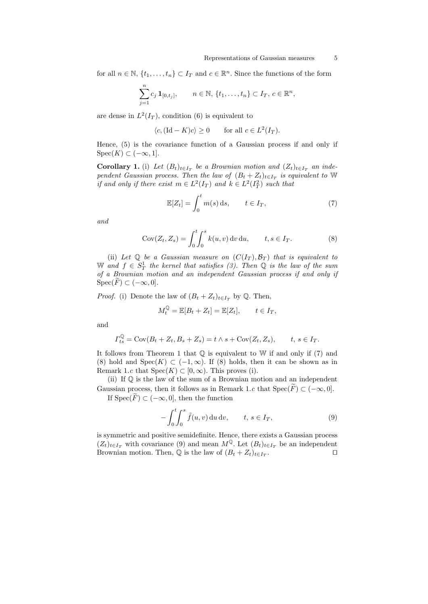for all  $n \in \mathbb{N}, \{t_1, \ldots, t_n\} \subset I_T$  and  $c \in \mathbb{R}^n$ . Since the functions of the form

$$
\sum_{j=1}^{n} c_j \mathbf{1}_{[0,t_j]}, \qquad n \in \mathbb{N}, \{t_1, \ldots, t_n\} \subset I_T, c \in \mathbb{R}^n,
$$

are dense in  $L^2(I_T)$ , condition (6) is equivalent to

$$
\langle c, (\text{Id} - K)c \rangle \ge 0
$$
 for all  $c \in L^2(I_T)$ .

Hence, (5) is the covariance function of a Gaussian process if and only if  $Spec(K) \subset (-\infty, 1].$ 

**Corollary 1.** (i) Let  $(B_t)_{t \in I_T}$  be a Brownian motion and  $(Z_t)_{t \in I_T}$  an independent Gaussian process. Then the law of  $(B_t + Z_t)_{t \in I_T}$  is equivalent to W if and only if there exist  $m \in L^2(I_T)$  and  $k \in L^2(I_T^2)$  such that

$$
\mathbb{E}[Z_t] = \int_0^t m(s) \, \mathrm{d}s, \qquad t \in I_T,\tag{7}
$$

and

$$
Cov(Z_t, Z_s) = \int_0^t \int_0^s k(u, v) dv du, \qquad t, s \in I_T.
$$
 (8)

(ii) Let  $\mathbb Q$  be a Gaussian measure on  $(C(I_T), \mathcal{B}_T)$  that is equivalent to W and  $f \in S_T^1$  the kernel that satisfies (3). Then  $\mathbb Q$  is the law of the sum of a Brownian motion and an independent Gaussian process if and only if  $\operatorname{Spec}(F) \subset (-\infty, 0].$ 

*Proof.* (i) Denote the law of  $(B_t + Z_t)_{t \in I_T}$  by Q. Then,

$$
M_t^{\mathbb{Q}} = \mathbb{E}[B_t + Z_t] = \mathbb{E}[Z_t], \qquad t \in I_T,
$$

and

$$
\Gamma^{\mathbb{Q}}_{ts} = \text{Cov}(B_t + Z_t, B_s + Z_s) = t \wedge s + \text{Cov}(Z_t, Z_s), \qquad t, s \in I_T.
$$

It follows from Theorem 1 that  $\mathbb Q$  is equivalent to  $\mathbb W$  if and only if (7) and (8) hold and  $Spec(K) \subset (-1,\infty)$ . If (8) holds, then it can be shown as in Remark 1.c that  $Spec(K) \subset [0,\infty)$ . This proves (i).

(ii) If Q is the law of the sum of a Brownian motion and an independent Gaussian process, then it follows as in Remark 1.c that  $Spec(\tilde{F}) \subset (-\infty, 0].$ If  $Spec(\widetilde{F}) \subset (-\infty, 0]$ , then the function

$$
-\int_0^t \int_0^s \tilde{f}(u,v) \, \mathrm{d}u \, \mathrm{d}v, \qquad t, s \in I_T,\tag{9}
$$

is symmetric and positive semidefinite. Hence, there exists a Gaussian process  $(Z_t)_{t\in I_T}$  with covariance (9) and mean  $M^{\mathbb{Q}}$ . Let  $(B_t)_{t\in I_T}$  be an independent Brownian motion. Then,  $\mathbb Q$  is the law of  $(B_t + Z_t)_{t \in I_T}$ . . The contract of  $\Box$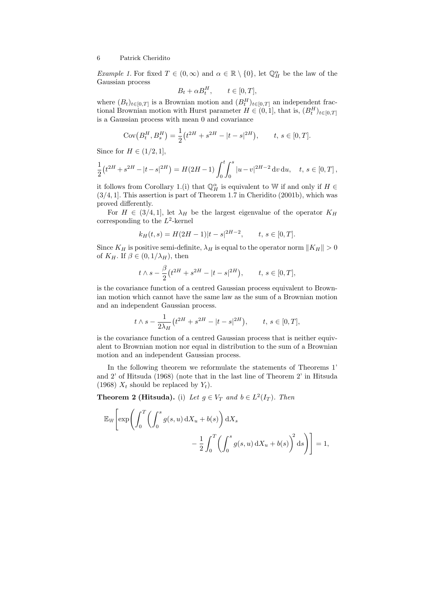*Example 1*. For fixed  $T \in (0, \infty)$  and  $\alpha \in \mathbb{R} \setminus \{0\}$ , let  $\mathbb{Q}_H^{\alpha}$  be the law of the Gaussian process

$$
B_t + \alpha B_t^H, \qquad t \in [0, T],
$$

where  $(B_t)_{t\in[0,T]}$  is a Brownian motion and  $(B_t^H)_{t\in[0,T]}$  an independent fractional Brownian motion with Hurst parameter  $H \in (0, 1]$ , that is,  $(B_t^H)_{t \in [0, T]}$ is a Gaussian process with mean 0 and covariance

$$
Cov(B_t^H, B_s^H) = \frac{1}{2} (t^{2H} + s^{2H} - |t - s|^{2H}), \qquad t, s \in [0, T].
$$

Since for  $H \in (1/2, 1]$ ,

$$
\frac{1}{2}(t^{2H} + s^{2H} - |t - s|^{2H}) = H(2H - 1) \int_0^t \int_0^s |u - v|^{2H - 2} dv du, \quad t, s \in [0, T],
$$

it follows from Corollary 1.(i) that  $\mathbb{Q}_H^{\alpha}$  is equivalent to W if and only if  $H \in$  $(3/4, 1]$ . This assertion is part of Theorem 1.7 in Cheridito  $(2001b)$ , which was proved differently.

For  $H \in (3/4, 1]$ , let  $\lambda_H$  be the largest eigenvalue of the operator  $K_H$ corresponding to the  $L^2$ -kernel

$$
k_H(t,s) = H(2H-1)|t-s|^{2H-2}
$$
,  $t, s \in [0,T]$ .

Since  $K_H$  is positive semi-definite,  $\lambda_H$  is equal to the operator norm  $||K_H|| > 0$ of  $K_H$ . If  $\beta \in (0, 1/\lambda_H)$ , then

$$
t \wedge s - \frac{\beta}{2} (t^{2H} + s^{2H} - |t - s|^{2H}), \qquad t, s \in [0, T],
$$

is the covariance function of a centred Gaussian process equivalent to Brownian motion which cannot have the same law as the sum of a Brownian motion and an independent Gaussian process.

$$
t \wedge s - \frac{1}{2\lambda_H} (t^{2H} + s^{2H} - |t - s|^{2H}), \qquad t, s \in [0, T],
$$

is the covariance function of a centred Gaussian process that is neither equivalent to Brownian motion nor equal in distribution to the sum of a Brownian motion and an independent Gaussian process.

In the following theorem we reformulate the statements of Theorems 1' and 2' of Hitsuda (1968) (note that in the last line of Theorem 2' in Hitsuda (1968)  $X_t$  should be replaced by  $Y_t$ ).

**Theorem 2 (Hitsuda).** (i) Let  $g \in V_T$  and  $b \in L^2(I_T)$ . Then

$$
\mathbb{E}_{\mathbb{W}}\left[\exp\left(\int_0^T \left(\int_0^s g(s, u) dX_u + b(s)\right) dX_s\right) - \frac{1}{2} \int_0^T \left(\int_0^s g(s, u) dX_u + b(s)\right)^2 ds\right)\right] = 1,
$$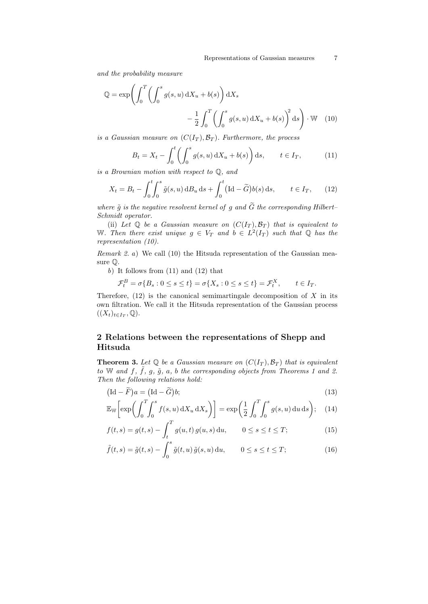and the probability measure

$$
\mathbb{Q} = \exp\left(\int_0^T \left(\int_0^s g(s, u) \, dX_u + b(s)\right) dX_s - \frac{1}{2} \int_0^T \left(\int_0^s g(s, u) \, dX_u + b(s)\right)^2 ds\right) \cdot \mathbb{W} \tag{10}
$$

is a Gaussian measure on  $(C(I_T), \mathcal{B}_T)$ . Furthermore, the process

$$
B_t = X_t - \int_0^t \left( \int_0^s g(s, u) \, dX_u + b(s) \right) ds, \qquad t \in I_T,
$$
 (11)

is a Brownian motion with respect to Q, and

$$
X_t = B_t - \int_0^t \int_0^s \tilde{g}(s, u) \, \mathrm{d}B_u \, \mathrm{d}s + \int_0^t (\mathrm{Id} - \tilde{G}) b(s) \, \mathrm{d}s, \qquad t \in I_T, \qquad (12)
$$

where  $\tilde{g}$  is the negative resolvent kernel of g and  $\tilde{G}$  the corresponding Hilbert– Schmidt operator.

(ii) Let  $\mathbb Q$  be a Gaussian measure on  $(C(I_T), \mathcal{B}_T)$  that is equivalent to W. Then there exist unique  $g \in V_T$  and  $b \in L^2(I_T)$  such that Q has the representation (10).

Remark 2. a) We call (10) the Hitsuda representation of the Gaussian measure Q.

 $b)$  It follows from  $(11)$  and  $(12)$  that

$$
\mathcal{F}_t^B = \sigma\{B_s : 0 \le s \le t\} = \sigma\{X_s : 0 \le s \le t\} = \mathcal{F}_t^X, \qquad t \in I_T.
$$

Therefore,  $(12)$  is the canonical semimartingale decomposition of X in its own filtration. We call it the Hitsuda representation of the Gaussian process  $((X_t)_{t\in I_T},\mathbb{Q}).$ 

## 2 Relations between the representations of Shepp and Hitsuda

**Theorem 3.** Let  $\mathbb Q$  be a Gaussian measure on  $(C(I_T), \mathcal{B}_T)$  that is equivalent to W and f,  $\tilde{f}$ ,  $g$ ,  $\tilde{g}$ ,  $a$ ,  $b$  the corresponding objects from Theorems 1 and 2. Then the following relations hold:

$$
(\mathrm{Id} - \widetilde{F})a = (\mathrm{Id} - \widetilde{G})b; \tag{13}
$$

$$
\mathbb{E}_{\mathbb{W}}\bigg[\exp\bigg(\int_0^T \int_0^s f(s, u) \, \mathrm{d}X_u \, \mathrm{d}X_s\bigg)\bigg] = \exp\bigg(\frac{1}{2} \int_0^T \int_0^s g(s, u) \, \mathrm{d}u \, \mathrm{d}s\bigg); \quad (14)
$$

$$
f(t,s) = g(t,s) - \int_{t}^{T} g(u,t) g(u,s) \, \mathrm{d}u, \qquad 0 \le s \le t \le T; \tag{15}
$$

$$
\tilde{f}(t,s) = \tilde{g}(t,s) - \int_0^s \tilde{g}(t,u)\,\tilde{g}(s,u)\,\mathrm{d}u, \qquad 0 \le s \le t \le T; \tag{16}
$$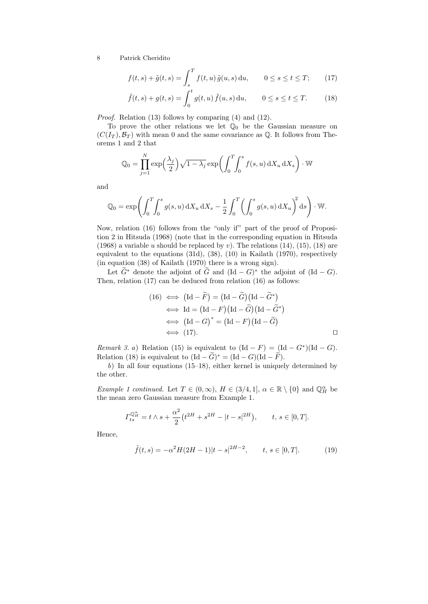$$
f(t,s) + \tilde{g}(t,s) = \int_{s}^{T} f(t,u)\,\tilde{g}(u,s)\,\mathrm{d}u, \qquad 0 \le s \le t \le T; \qquad (17)
$$

$$
\tilde{f}(t,s) + g(t,s) = \int_0^t g(t,u) \, \tilde{f}(u,s) \, \mathrm{d}u, \qquad 0 \le s \le t \le T.
$$
 (18)

Proof. Relation (13) follows by comparing (4) and (12).

To prove the other relations we let  $\mathbb{Q}_0$  be the Gaussian measure on  $(C(I_T), \mathcal{B}_T)$  with mean 0 and the same covariance as Q. It follows from Theorems 1 and 2 that

$$
\mathbb{Q}_0 = \prod_{j=1}^N \exp\left(\frac{\lambda_j}{2}\right) \sqrt{1 - \lambda_j} \exp\left(\int_0^T \int_0^s f(s, u) \,dX_u \,dX_s\right) \cdot \mathbb{W}
$$

and

$$
\mathbb{Q}_0 = \exp\left(\int_0^T \int_0^s g(s, u) \, dX_u \, dX_s - \frac{1}{2} \int_0^T \left(\int_0^s g(s, u) \, dX_u\right)^2 ds\right) \cdot \mathbb{W}.
$$

Now, relation (16) follows from the "only if" part of the proof of Proposition 2 in Hitsuda (1968) (note that in the corresponding equation in Hitsuda (1968) a variable u should be replaced by v). The relations  $(14)$ ,  $(15)$ ,  $(18)$  are equivalent to the equations (31d), (38), (10) in Kailath (1970), respectively (in equation (38) of Kailath (1970) there is a wrong sign).

Let  $\widetilde{G}^*$  denote the adjoint of  $\widetilde{G}$  and  $(\mathrm{Id} - G)^*$  the adjoint of  $(\mathrm{Id} - G)$ . Then, relation (17) can be deduced from relation (16) as follows:

$$
(16) \iff (\text{Id} - \tilde{F}) = (\text{Id} - \tilde{G})(\text{Id} - \tilde{G}^*)
$$
  
\n
$$
\iff \text{Id} = (\text{Id} - F)(\text{Id} - \tilde{G})(\text{Id} - \tilde{G}^*)
$$
  
\n
$$
\iff (\text{Id} - G)^* = (\text{Id} - F)(\text{Id} - \tilde{G})
$$
  
\n
$$
\iff (17).
$$

Remark 3. a) Relation (15) is equivalent to  $(\text{Id} - F) = (\text{Id} - G^*)(\text{Id} - G)$ . Relation (18) is equivalent to  $(\text{Id} - \widetilde{G})^* = (\text{Id} - G)(\text{Id} - \widetilde{F})$ .

b) In all four equations (15–18), either kernel is uniquely determined by the other.

Example 1 continued. Let  $T \in (0, \infty)$ ,  $H \in (3/4, 1]$ ,  $\alpha \in \mathbb{R} \setminus \{0\}$  and  $\mathbb{Q}_H^{\alpha}$  be the mean zero Gaussian measure from Example 1.

$$
\Gamma_{ts}^{\mathbb{Q}_H^{\alpha}} = t \wedge s + \frac{\alpha^2}{2} (t^{2H} + s^{2H} - |t - s|^{2H}), \qquad t, s \in [0, T].
$$

Hence,

$$
\tilde{f}(t,s) = -\alpha^2 H(2H-1)|t-s|^{2H-2}, \qquad t, s \in [0,T].
$$
 (19)